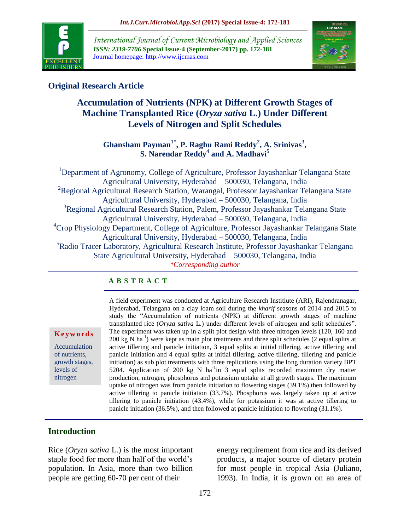

*International Journal of Current Microbiology and Applied Sciences ISSN: 2319-7706* **Special Issue-4 (September-2017) pp. 172-181** Journal homepage: http://www.ijcmas.com



## **Original Research Article**

# **Accumulation of Nutrients (NPK) at Different Growth Stages of Machine Transplanted Rice (***Oryza sativa* **L.) Under Different Levels of Nitrogen and Split Schedules**

**Ghansham Payman1\*, P. Raghu Rami Reddy<sup>2</sup> , A. Srinivas<sup>3</sup> , S. Narendar Reddy<sup>4</sup> and A. Madhavi<sup>5</sup>**

<sup>1</sup>Department of Agronomy, College of Agriculture, Professor Jayashankar Telangana State Agricultural University, Hyderabad – 500030, Telangana, India <sup>2</sup>Regional Agricultural Research Station, Warangal, Professor Jayashankar Telangana State Agricultural University, Hyderabad – 500030, Telangana, India <sup>3</sup>Regional Agricultural Research Station, Palem, Professor Jayashankar Telangana State Agricultural University, Hyderabad – 500030, Telangana, India <sup>4</sup>Crop Physiology Department, College of Agriculture, Professor Jayashankar Telangana State Agricultural University, Hyderabad – 500030, Telangana, India <sup>5</sup>Radio Tracer Laboratory, Agricultural Research Institute, Professor Jayashankar Telangana State Agricultural University, Hyderabad – 500030, Telangana, India *\*Corresponding author*

#### **A B S T R A C T**

**K e y w o r d s** Accumulation

of nutrients, growth stages, levels of nitrogen

A field experiment was conducted at Agriculture Research Institiute (ARI), Rajendranagar, Hyderabad, Telangana on a clay loam soil during the *kharif* seasons of 2014 and 2015 to study the "Accumulation of nutrients (NPK) at different growth stages of machine transplanted rice (*Oryza sativa* L.) under different levels of nitrogen and split schedules". The experiment was taken up in a split plot design with three nitrogen levels (120, 160 and  $200 \text{ kg N} \text{ ha}^{-1}$ ) were kept as main plot treatments and three split schedules (2 equal splits at active tillering and panicle initiation, 3 equal splits at initial tillering, active tillering and panicle initiation and 4 equal splits at initial tillering, active tillering, tillering and panicle initiation) as sub plot treatments with three replications using the long duration variety BPT 5204. Application of 200 kg N ha<sup>-1</sup>in 3 equal splits recorded maximum dry matter production, nitrogen, phosphorus and potassium uptake at all growth stages. The maximum uptake of nitrogen was from panicle initiation to flowering stages (39.1%) then followed by active tillering to panicle initiation (33.7%). Phosphorus was largely taken up at active tillering to panicle initiation (43.4%), while for potassium it was at active tillering to panicle initiation (36.5%), and then followed at panicle initiation to flowering (31.1%).

### **Introduction**

Rice (*Oryza sativa* L.) is the most important staple food for more than half of the world's population. In Asia, more than two billion people are getting 60-70 per cent of their

energy requirement from rice and its derived products, a major source of dietary protein for most people in tropical Asia (Juliano, 1993). In India, it is grown on an area of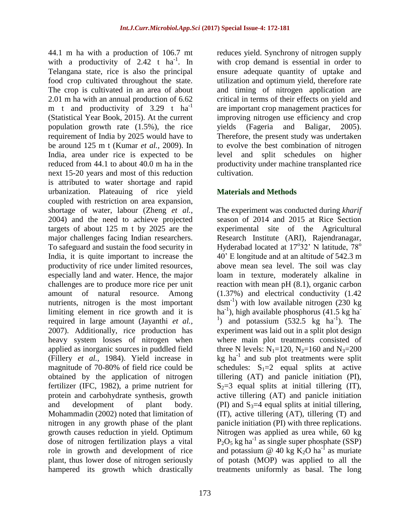44.1 m ha with a production of 106.7 mt with a productivity of 2.42 t  $ha^{-1}$ . In Telangana state, rice is also the principal food crop cultivated throughout the state. The crop is cultivated in an area of about 2.01 m ha with an annual production of 6.62 m t and productivity of  $3.29$  t ha<sup>-1</sup> (Statistical Year Book, 2015). At the current population growth rate (1.5%), the rice requirement of India by 2025 would have to be around 125 m t (Kumar *et al.,* 2009). In India, area under rice is expected to be reduced from 44.1 to about 40.0 m ha in the next 15-20 years and most of this reduction is attributed to water shortage and rapid urbanization. Plateauing of rice yield coupled with restriction on area expansion, shortage of water, labour (Zheng *et al.,* 2004) and the need to achieve projected targets of about 125 m t by 2025 are the major challenges facing Indian researchers. To safeguard and sustain the food security in India, it is quite important to increase the productivity of rice under limited resources, especially land and water. Hence, the major challenges are to produce more rice per unit amount of natural resource. Among nutrients, nitrogen is the most important limiting element in rice growth and it is required in large amount (Jayanthi *et al.,* 2007). Additionally, rice production has heavy system losses of nitrogen when applied as inorganic sources in puddled field (Fillery *et al.,* 1984). Yield increase in magnitude of 70-80% of field rice could be obtained by the application of nitrogen fertilizer (IFC, 1982), a prime nutrient for protein and carbohydrate synthesis, growth and development of plant body. Mohammadin (2002) noted that limitation of nitrogen in any growth phase of the plant growth causes reduction in yield. Optimum dose of nitrogen fertilization plays a vital role in growth and development of rice plant, thus lower dose of nitrogen seriously hampered its growth which drastically

reduces yield. Synchrony of nitrogen supply with crop demand is essential in order to ensure adequate quantity of uptake and utilization and optimum yield, therefore rate and timing of nitrogen application are critical in terms of their effects on yield and are important crop management practices for improving nitrogen use efficiency and crop yields (Fageria and Baligar, 2005). Therefore, the present study was undertaken to evolve the best combination of nitrogen level and split schedules on higher productivity under machine transplanted rice cultivation.

### **Materials and Methods**

The experiment was conducted during *kharif* season of 2014 and 2015 at Rice Section experimental site of the Agricultural Research Institute (ARI), Rajendranagar, Hyderabad located at  $17^{\circ}32'$  N latitude,  $78^{\circ}$ 40' E longitude and at an altitude of 542.3 m above mean sea level. The soil was clay loam in texture, moderately alkaline in reaction with mean pH (8.1), organic carbon (1.37%) and electrical conductivity (1.42  $d$ sm<sup>-1</sup>) with low available nitrogen (230 kg) ha<sup>-1</sup>), high available phosphorus (41.5 kg ha<sup>-1</sup>) <sup>1</sup>) and potassium  $(532.5 \text{ kg} \text{ ha}^{-1})$ . The experiment was laid out in a split plot design where main plot treatments consisted of three N levels:  $N_1$ =120,  $N_2$ =160 and  $N_3$ =200  $kg$  ha<sup>-1</sup> and sub plot treatments were split schedules:  $S_1=2$  equal splits at active tillering (AT) and panicle initiation (PI),  $S_2=3$  equal splits at initial tillering (IT), active tillering (AT) and panicle initiation (PI) and  $S_3=4$  equal splits at initial tillering, (IT), active tillering (AT), tillering (T) and panicle initiation (PI) with three replications. Nitrogen was applied as urea while, 60 kg  $P_2O_5$  kg ha<sup>-1</sup> as single super phosphate (SSP) and potassium @ 40 kg  $K_2O$  ha<sup>-1</sup> as muriate of potash (MOP) was applied to all the treatments uniformly as basal. The long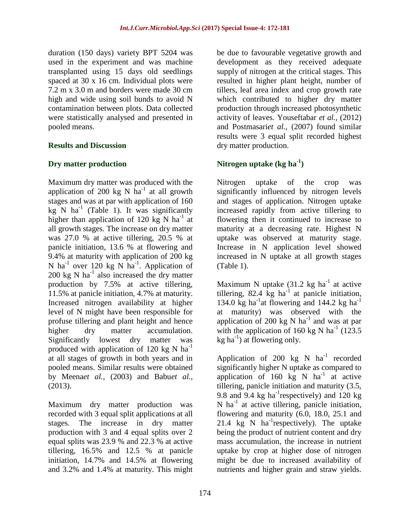duration (150 days) variety BPT 5204 was used in the experiment and was machine transplanted using 15 days old seedlings spaced at 30 x 16 cm. Individual plots were 7.2 m x 3.0 m and borders were made 30 cm high and wide using soil bunds to avoid N contamination between plots. Data collected were statistically analysed and presented in pooled means.

### **Results and Discussion**

## **Dry matter production**

Maximum dry matter was produced with the application of 200 kg N  $\mathrm{ha}^{-1}$  at all growth stages and was at par with application of 160  $kg \ N$  ha<sup>-1</sup> (Table 1). It was significantly higher than application of 120 kg N ha<sup>-1</sup> at all growth stages. The increase on dry matter was 27.0 % at active tillering, 20.5 % at panicle initiation, 13.6 % at flowering and 9.4% at maturity with application of 200 kg N ha<sup>-1</sup> over 120 kg N ha<sup>-1</sup>. Application of  $200 \text{ kg N}$  ha<sup>-1</sup> also increased the dry matter production by 7.5% at active tillering, 11.5% at panicle initiation, 4.7% at maturity. Increased nitrogen availability at higher level of N might have been responsible for profuse tillering and plant height and hence higher dry matter accumulation. Significantly lowest dry matter was produced with application of 120 kg N  $ha^{-1}$ at all stages of growth in both years and in pooled means. Similar results were obtained by Meena*et al.,* (2003) and Babu*et al.,* (2013).

Maximum dry matter production was recorded with 3 equal split applications at all stages. The increase in dry matter production with 3 and 4 equal splits over 2 equal splits was 23.9 % and 22.3 % at active tillering, 16.5% and 12.5 % at panicle initiation, 14.7% and 14.5% at flowering and 3.2% and 1.4% at maturity. This might be due to favourable vegetative growth and development as they received adequate supply of nitrogen at the critical stages. This resulted in higher plant height, number of tillers, leaf area index and crop growth rate which contributed to higher dry matter production through increased photosynthetic activity of leaves. Youseftabar *et al.,* (2012) and Postmasari*et al.,* (2007) found similar results were 3 equal split recorded highest dry matter production.

# **Nitrogen uptake (kg ha-1 )**

Nitrogen uptake of the crop was significantly influenced by nitrogen levels and stages of application. Nitrogen uptake increased rapidly from active tillering to flowering then it continued to increase to maturity at a decreasing rate. Highest N uptake was observed at maturity stage. Increase in N application level showed increased in N uptake at all growth stages (Table 1).

Maximum N uptake  $(31.2 \text{ kg ha}^{-1})$  at active tillering, 82.4  $kg$  ha<sup>-1</sup> at panicle initiation, 134.0  $\text{kg}$  ha<sup>-1</sup> at flowering and 144.2 kg ha<sup>-1</sup> at maturity) was observed with the application of 200 kg N  $ha^{-1}$  and was at par with the application of 160 kg N ha<sup>-1</sup> (123.5)  $kg$  ha<sup>-1</sup>) at flowering only.

Application of 200  $kg$  N  $ha^{-1}$  recorded significantly higher N uptake as compared to application of  $160 \text{ kg}$  N ha<sup>-1</sup> at active tillering, panicle initiation and maturity (3.5, 9.8 and 9.4 kg ha<sup>-1</sup> respectively) and 120 kg N ha<sup>-1</sup> at active tillering, panicle initiation, flowering and maturity (6.0, 18.0, 25.1 and 21.4 kg N  $ha^{-1}$ respectively). The uptake being the product of nutrient content and dry mass accumulation, the increase in nutrient uptake by crop at higher dose of nitrogen might be due to increased availability of nutrients and higher grain and straw yields.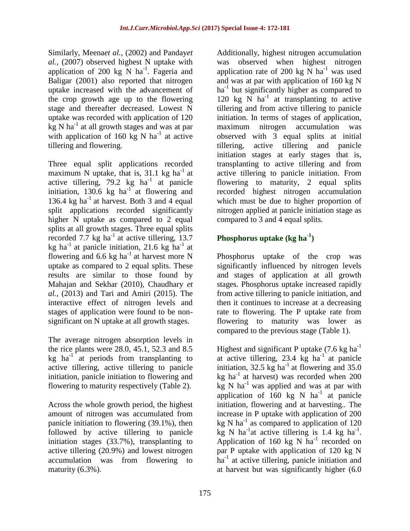Similarly, Meena*et al.,* (2002) and Panday*et al.,* (2007) observed highest N uptake with application of 200 kg  $\overline{N}$  ha<sup>-1</sup>. Fageria and Baligar (2001) also reported that nitrogen uptake increased with the advancement of the crop growth age up to the flowering stage and thereafter decreased. Lowest N uptake was recorded with application of 120  $kg$  N ha<sup>-1</sup> at all growth stages and was at par with application of  $160 \text{ kg}$  N ha<sup>-1</sup> at active tillering and flowering.

Three equal split applications recorded maximum N uptake, that is,  $31.1 \text{ kg } \text{ha}^{-1}$  at active tillering, 79.2  $kg$  ha<sup>-1</sup> at panicle initiation,  $130.6 \text{ kg}$  ha<sup>-1</sup> at flowering and 136.4 kg ha<sup>-1</sup> at harvest. Both 3 and 4 equal split applications recorded significantly higher N uptake as compared to 2 equal splits at all growth stages. Three equal splits recorded 7.7 kg ha<sup>-1</sup> at active tillering, 13.7 kg ha<sup>-1</sup> at panicle initiation, 21.6 kg ha<sup>-1</sup> at flowering and 6.6 kg ha<sup>-1</sup> at harvest more N uptake as compared to 2 equal splits. These results are similar to those found by Mahajan and Sekhar (2010), Chaudhary *et al.,* (2013) and Tari and Amiri (2015). The interactive effect of nitrogen levels and stages of application were found to be nonsignificant on N uptake at all growth stages.

The average nitrogen absorption levels in the rice plants were 28.0, 45.1, 52.3 and 8.5 kg ha<sup>-1</sup> at periods from transplanting to active tillering, active tillering to panicle initiation, panicle initiation to flowering and flowering to maturity respectively (Table 2).

Across the whole growth period, the highest amount of nitrogen was accumulated from panicle initiation to flowering (39.1%), then followed by active tillering to panicle initiation stages (33.7%), transplanting to active tillering (20.9%) and lowest nitrogen accumulation was from flowering to maturity (6.3%).

Additionally, highest nitrogen accumulation was observed when highest nitrogen application rate of 200 kg  $\overline{N}$  ha<sup>-1</sup> was used and was at par with application of 160 kg N ha<sup>-1</sup> but significantly higher as compared to 120 kg  $\overline{N}$  ha<sup>-1</sup> at transplanting to active tillering and from active tillering to panicle initiation. In terms of stages of application, maximum nitrogen accumulation was observed with 3 equal splits at initial tillering, active tillering and panicle initiation stages at early stages that is, transplanting to active tillering and from active tillering to panicle initiation. From flowering to maturity, 2 equal splits recorded highest nitrogen accumulation which must be due to higher proportion of nitrogen applied at panicle initiation stage as compared to 3 and 4 equal splits.

# **Phosphorus uptake (kg ha-1 )**

Phosphorus uptake of the crop was significantly influenced by nitrogen levels and stages of application at all growth stages. Phosphorus uptake increased rapidly from active tillering to panicle initiation, and then it continues to increase at a decreasing rate to flowering. The P uptake rate from flowering to maturity was lower as compared to the previous stage (Table 1).

Highest and significant P uptake  $(7.6 \text{ kg ha}^{-1})$ at active tillering,  $23.4 \text{ kg}$  ha<sup>-1</sup> at panicle initiation,  $32.5 \text{ kg}$  ha<sup>-1</sup> at flowering and  $35.0$ kg ha<sup>-1</sup> at harvest) was recorded when  $200$  $kg$  N ha<sup>-1</sup> was applied and was at par with application of  $160 \text{ kg}$  N ha<sup>-1</sup> at panicle initiation, flowering and at harvesting.. The increase in P uptake with application of 200 kg N ha $^{-1}$  as compared to application of 120  $\overline{kg}$  N ha<sup>-1</sup>at active tillering is 1.4 kg ha<sup>-1</sup>. Application of 160 kg N  $ha^{-1}$  recorded on par P uptake with application of 120 kg N ha<sup>-1</sup> at active tillering, panicle initiation and at harvest but was significantly higher (6.0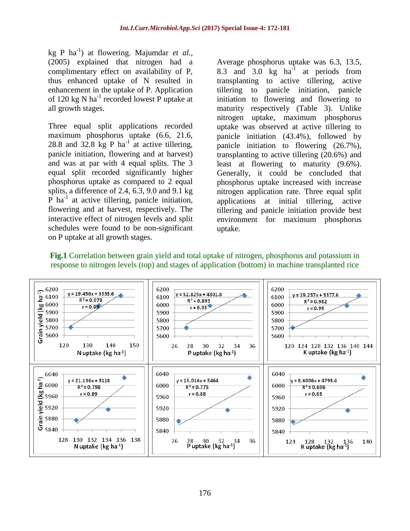kg P ha-1 ) at flowering. Majumdar *et al.,* (2005) explained that nitrogen had a complimentary effect on availability of P, thus enhanced uptake of N resulted in enhancement in the uptake of P. Application of 120 kg N ha<sup>-1</sup> recorded lowest P uptake at all growth stages.

Three equal split applications recorded maximum phosphorus uptake (6.6, 21.6, 28.8 and 32.8  $kg$  P ha<sup>-1</sup> at active tillering, panicle initiation, flowering and at harvest) and was at par with 4 equal splits. The 3 equal split recorded significantly higher phosphorus uptake as compared to 2 equal splits, a difference of 2.4, 6.3, 9.0 and 9.1 kg  $\overline{P}$  ha<sup>-1</sup> at active tillering, panicle initiation, flowering and at harvest, respectively. The interactive effect of nitrogen levels and split schedules were found to be non-significant on P uptake at all growth stages.

Average phosphorus uptake was 6.3, 13.5, 8.3 and 3.0 kg  $ha^{-1}$ at periods from transplanting to active tillering, active tillering to panicle initiation, panicle initiation to flowering and flowering to maturity respectively (Table 3). Unlike nitrogen uptake, maximum phosphorus uptake was observed at active tillering to panicle initiation (43.4%), followed by panicle initiation to flowering (26.7%), transplanting to active tillering (20.6%) and least at flowering to maturity (9.6%). Generally, it could be concluded that phosphorus uptake increased with increase nitrogen application rate. Three equal split applications at initial tillering, active tillering and panicle initiation provide best environment for maximum phosphorus uptake.

**Fig.1** Correlation between grain yield and total uptake of nitrogen, phosphorus and potassium in response to nitrogen levels (top) and stages of application (bottom) in machine transplanted rice

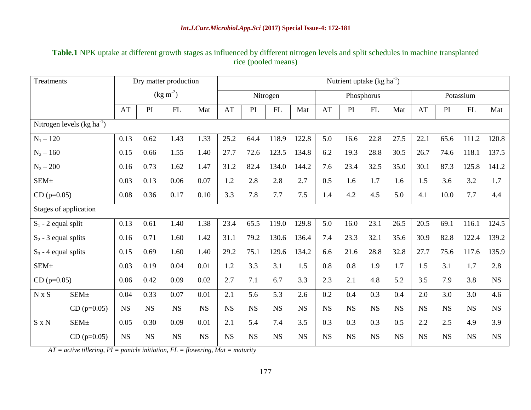## **Table.1** NPK uptake at different growth stages as influenced by different nitrogen levels and split schedules in machine transplanted rice (pooled means)

| Treatments                  |                         | Dry matter production |           |           | Nutrient uptake $(kg ha-1)$ |           |           |            |           |           |           |           |           |           |           |           |           |
|-----------------------------|-------------------------|-----------------------|-----------|-----------|-----------------------------|-----------|-----------|------------|-----------|-----------|-----------|-----------|-----------|-----------|-----------|-----------|-----------|
|                             |                         | $(\text{kg m}^{-2})$  |           |           | Nitrogen                    |           |           | Phosphorus |           |           | Potassium |           |           |           |           |           |           |
|                             |                         | AT                    | PI        | FL        | Mat                         | AT        | PI        | FL         | Mat       | AT        | PI        | FL        | Mat       | AT        | PI        | FL        | Mat       |
| Nitrogen levels $(kg ha-1)$ |                         |                       |           |           |                             |           |           |            |           |           |           |           |           |           |           |           |           |
| $N_1 - 120$                 |                         | 0.13                  | 0.62      | 1.43      | 1.33                        | 25.2      | 64.4      | 118.9      | 122.8     | 5.0       | 16.6      | 22.8      | 27.5      | 22.1      | 65.6      | 111.2     | 120.8     |
| $N_2 - 160$                 |                         | 0.15                  | 0.66      | 1.55      | 1.40                        | 27.7      | 72.6      | 123.5      | 134.8     | 6.2       | 19.3      | 28.8      | 30.5      | 26.7      | 74.6      | 118.1     | 137.5     |
| $N_3 - 200$                 |                         | 0.16                  | 0.73      | 1.62      | 1.47                        | 31.2      | 82.4      | 134.0      | 144.2     | 7.6       | 23.4      | 32.5      | 35.0      | 30.1      | 87.3      | 125.8     | 141.2     |
| SEM <sub>±</sub>            |                         | 0.03                  | 0.13      | 0.06      | 0.07                        | 1.2       | 2.8       | 2.8        | 2.7       | 0.5       | 1.6       | 1.7       | 1.6       | 1.5       | 3.6       | 3.2       | 1.7       |
| $CD$ (p=0.05)               |                         | 0.08                  | 0.36      | 0.17      | 0.10                        | 3.3       | 7.8       | 7.7        | 7.5       | 1.4       | 4.2       | 4.5       | 5.0       | 4.1       | 10.0      | 7.7       | 4.4       |
| Stages of application       |                         |                       |           |           |                             |           |           |            |           |           |           |           |           |           |           |           |           |
| $S_1$ - 2 equal split       |                         | 0.13                  | 0.61      | 1.40      | 1.38                        | 23.4      | 65.5      | 119.0      | 129.8     | 5.0       | 16.0      | 23.1      | 26.5      | 20.5      | 69.1      | 116.1     | 124.5     |
| $S_2$ - 3 equal splits      |                         | 0.16                  | 0.71      | 1.60      | 1.42                        | 31.1      | 79.2      | 130.6      | 136.4     | 7.4       | 23.3      | 32.1      | 35.6      | 30.9      | 82.8      | 122.4     | 139.2     |
| $S_3$ - 4 equal splits      |                         | 0.15                  | 0.69      | 1.60      | 1.40                        | 29.2      | 75.1      | 129.6      | 134.2     | 6.6       | 21.6      | 28.8      | 32.8      | 27.7      | 75.6      | 117.6     | 135.9     |
| SEM <sub>±</sub>            |                         | 0.03                  | 0.19      | 0.04      | 0.01                        | 1.2       | 3.3       | 3.1        | 1.5       | 0.8       | 0.8       | 1.9       | 1.7       | 1.5       | 3.1       | 1.7       | 2.8       |
| $CD$ (p=0.05)               |                         | 0.06                  | 0.42      | 0.09      | 0.02                        | 2.7       | 7.1       | 6.7        | 3.3       | 2.3       | 2.1       | 4.8       | 5.2       | 3.5       | 7.9       | 3.8       | <b>NS</b> |
| $N \times S$                | <b>SEM</b> <sup>+</sup> | 0.04                  | 0.33      | 0.07      | 0.01                        | 2.1       | 5.6       | 5.3        | 2.6       | 0.2       | 0.4       | 0.3       | 0.4       | 2.0       | 3.0       | 3.0       | 4.6       |
|                             | $CD (p=0.05)$           | <b>NS</b>             | <b>NS</b> | <b>NS</b> | <b>NS</b>                   | <b>NS</b> | <b>NS</b> | <b>NS</b>  | <b>NS</b> | <b>NS</b> | <b>NS</b> | <b>NS</b> | <b>NS</b> | <b>NS</b> | <b>NS</b> | <b>NS</b> | <b>NS</b> |
| $S \times N$                | SEM <sub>±</sub>        | 0.05                  | 0.30      | 0.09      | 0.01                        | 2.1       | 5.4       | 7.4        | 3.5       | 0.3       | 0.3       | 0.3       | 0.5       | 2.2       | 2.5       | 4.9       | 3.9       |
|                             | $CD (p=0.05)$           | <b>NS</b>             | <b>NS</b> | <b>NS</b> | <b>NS</b>                   | <b>NS</b> | <b>NS</b> | <b>NS</b>  | <b>NS</b> | <b>NS</b> | <b>NS</b> | <b>NS</b> | <b>NS</b> | <b>NS</b> | <b>NS</b> | <b>NS</b> | <b>NS</b> |

*AT = active tillering, PI = panicle initiation, FL = flowering, Mat = maturity*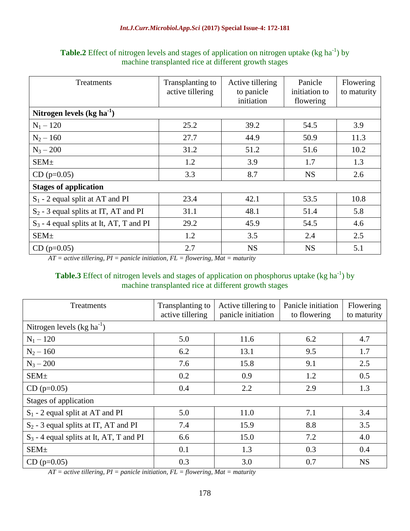| Treatments                                 | Transplanting to<br>active tillering | Active tillering<br>to panicle<br>initiation | Panicle<br>initiation to<br>flowering | Flowering<br>to maturity |  |  |  |  |  |
|--------------------------------------------|--------------------------------------|----------------------------------------------|---------------------------------------|--------------------------|--|--|--|--|--|
| Nitrogen levels $(kg ha-1)$                |                                      |                                              |                                       |                          |  |  |  |  |  |
| $N_1 - 120$                                | 25.2                                 | 39.2                                         | 54.5                                  | 3.9                      |  |  |  |  |  |
| $N_2 - 160$                                | 27.7                                 | 44.9                                         | 50.9                                  | 11.3                     |  |  |  |  |  |
| $N_3 - 200$                                | 31.2                                 | 51.2                                         | 51.6                                  | 10.2                     |  |  |  |  |  |
| SEM <sub>±</sub>                           | 1.2                                  | 3.9                                          | 1.7                                   | 1.3                      |  |  |  |  |  |
| $CD (p=0.05)$                              | 3.3                                  | 8.7                                          | <b>NS</b>                             | 2.6                      |  |  |  |  |  |
| <b>Stages of application</b>               |                                      |                                              |                                       |                          |  |  |  |  |  |
| $S_1$ - 2 equal split at AT and PI         | 23.4                                 | 42.1                                         | 53.5                                  | 10.8                     |  |  |  |  |  |
| $S_2$ - 3 equal splits at IT, AT and PI    | 31.1                                 | 48.1                                         | 51.4                                  | 5.8                      |  |  |  |  |  |
| $S_3$ - 4 equal splits at It, AT, T and PI | 29.2                                 | 45.9                                         | 54.5                                  | 4.6                      |  |  |  |  |  |
| SEM <sub>±</sub>                           | 1.2                                  | 3.5                                          | 2.4                                   | 2.5                      |  |  |  |  |  |
| $CD (p=0.05)$                              | 2.7                                  | <b>NS</b>                                    | <b>NS</b>                             | 5.1                      |  |  |  |  |  |

**Table.2** Effect of nitrogen levels and stages of application on nitrogen uptake (kg ha<sup>-1</sup>) by machine transplanted rice at different growth stages

*AT = active tillering, PI = panicle initiation, FL = flowering, Mat = maturity*

#### **Table.3** Effect of nitrogen levels and stages of application on phosphorus uptake (kg ha<sup>-1</sup>) by machine transplanted rice at different growth stages

| Treatments                                 | Transplanting to<br>active tillering | Active tillering to<br>panicle initiation | Panicle initiation<br>to flowering | Flowering<br>to maturity |  |  |  |  |
|--------------------------------------------|--------------------------------------|-------------------------------------------|------------------------------------|--------------------------|--|--|--|--|
| Nitrogen levels $(kg ha^{-1})$             |                                      |                                           |                                    |                          |  |  |  |  |
| $N_1 - 120$                                | 5.0                                  | 11.6                                      | 6.2                                | 4.7                      |  |  |  |  |
| $N_2 - 160$                                | 6.2                                  | 13.1                                      | 9.5                                | 1.7                      |  |  |  |  |
| $N_3 - 200$                                | 7.6                                  | 15.8                                      | 9.1                                | 2.5                      |  |  |  |  |
| <b>SEM</b> <sup>+</sup>                    | 0.2                                  | 0.9                                       | 1.2                                | 0.5                      |  |  |  |  |
| $CD (p=0.05)$                              | 0.4                                  | 2.2                                       | 2.9                                | 1.3                      |  |  |  |  |
| Stages of application                      |                                      |                                           |                                    |                          |  |  |  |  |
| $S_1$ - 2 equal split at AT and PI         | 5.0                                  | 11.0                                      | 7.1                                | 3.4                      |  |  |  |  |
| $S_2$ - 3 equal splits at IT, AT and PI    | 7.4                                  | 15.9                                      | 8.8                                | 3.5                      |  |  |  |  |
| $S_3$ - 4 equal splits at It, AT, T and PI | 6.6                                  | 15.0                                      | 7.2                                | 4.0                      |  |  |  |  |
| <b>SEM</b> <sup>+</sup>                    | 0.1                                  | 1.3                                       | 0.3                                | 0.4                      |  |  |  |  |
| $CD (p=0.05)$                              | 0.3                                  | 3.0                                       | 0.7                                | <b>NS</b>                |  |  |  |  |

*AT = active tillering, PI = panicle initiation, FL = flowering, Mat = maturity*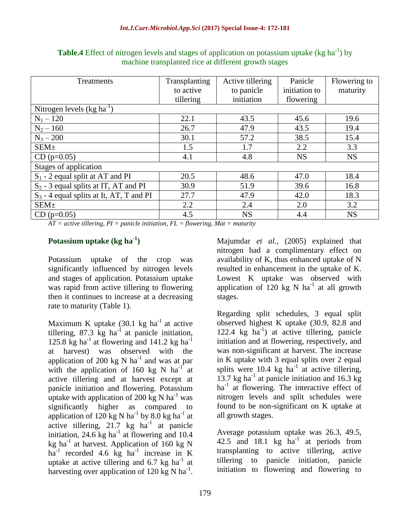| <b>Treatments</b>                                | Transplanting | Active tillering | Panicle       | Flowering to |  |  |  |
|--------------------------------------------------|---------------|------------------|---------------|--------------|--|--|--|
|                                                  | to active     | to panicle       | initiation to | maturity     |  |  |  |
|                                                  | tillering     | initiation       | flowering     |              |  |  |  |
| Nitrogen levels $(kg ha^{-1})$                   |               |                  |               |              |  |  |  |
| $N_1 - 120$                                      | 22.1          | 43.5             | 45.6          | 19.6         |  |  |  |
| $N_2 - 160$                                      | 26.7          | 47.9             | 43.5          | 19.4         |  |  |  |
| $N_3 - 200$                                      | 30.1          | 57.2             | 38.5          | 15.4         |  |  |  |
| SEM <sub>±</sub>                                 | 1.5           | 1.7              | 2.2           | 3.3          |  |  |  |
| $CD (p=0.05)$                                    | 4.1           | 4.8              | <b>NS</b>     | <b>NS</b>    |  |  |  |
| Stages of application                            |               |                  |               |              |  |  |  |
| $S_1$ - 2 equal split at AT and PI               | 20.5          | 48.6             | 47.0          | 18.4         |  |  |  |
| S <sub>2</sub> - 3 equal splits at IT, AT and PI | 30.9          | 51.9             | 39.6          | 16.8         |  |  |  |
| $S_3$ - 4 equal splits at It, AT, T and PI       | 27.7          | 47.9             | 42.0          | 18.3         |  |  |  |
| SEM <sub>±</sub>                                 | 2.2           | 2.4              | 2.0           | 3.2          |  |  |  |
| $CD$ (p=0.05)                                    | 4.5           | <b>NS</b>        | 4.4           | <b>NS</b>    |  |  |  |

**Table.4** Effect of nitrogen levels and stages of application on potassium uptake (kg ha<sup>-1</sup>) by machine transplanted rice at different growth stages

 $AT = active$  *tillering, PI* = *panicle initiation, FL* = *flowering, Mat* = *maturity* 

## **Potassium uptake (kg ha-1 )**

Potassium uptake of the crop was significantly influenced by nitrogen levels and stages of application. Potassium uptake was rapid from active tillering to flowering then it continues to increase at a decreasing rate to maturity (Table 1).

Maximum K uptake  $(30.1 \text{ kg ha}^{-1})$  at active tillering, 87.3  $kg$  ha<sup>-1</sup> at panicle initiation, 125.8 kg ha<sup>-1</sup> at flowering and 141.2 kg ha<sup>-1</sup> at harvest) was observed with the application of 200 kg N  $ha^{-1}$  and was at par with the application of 160 kg N  $\text{ha}^{-1}$  at active tillering and at harvest except at panicle initiation and flowering. Potassium uptake with application of 200 kg N  $\text{ha}^{-1}$  was significantly higher as compared to application of 120 kg N ha<sup>-1</sup> by 8.0 kg ha<sup>-1</sup> at active tillering,  $21.7$  kg ha<sup>-1</sup> at panicle initiation,  $24.6 \text{ kg}$  ha<sup>-1</sup> at flowering and 10.4 kg ha<sup>-1</sup> at harvest. Application of 160 kg N  $ha^{-1}$  recorded 4.6 kg  $ha^{-1}$  increase in K uptake at active tillering and  $6.7 \text{ kg ha}^{-1}$  at harvesting over application of 120 kg N ha<sup>-1</sup>. Majumdar *et al.,* (2005) explained that nitrogen had a complimentary effect on availability of K, thus enhanced uptake of N resulted in enhancement in the uptake of K. Lowest K uptake was observed with application of  $120 \text{ kg}$  N ha<sup>-1</sup> at all growth stages.

Regarding split schedules, 3 equal split observed highest K uptake (30.9, 82.8 and 122.4 kg ha<sup>-1</sup>) at active tillering, panicle initiation and at flowering, respectively, and was non-significant at harvest. The increase in K uptake with 3 equal splits over 2 equal splits were 10.4  $kg$  ha<sup>-1</sup> at active tillering, 13.7 kg ha<sup>-1</sup> at panicle initiation and 16.3 kg ha<sup>-1</sup> at flowering. The interactive effect of nitrogen levels and split schedules were found to be non-significant on K uptake at all growth stages.

Average potassium uptake was 26.3, 49.5, 42.5 and 18.1 kg  $ha^{-1}$  at periods from transplanting to active tillering, active tillering to panicle initiation, panicle initiation to flowering and flowering to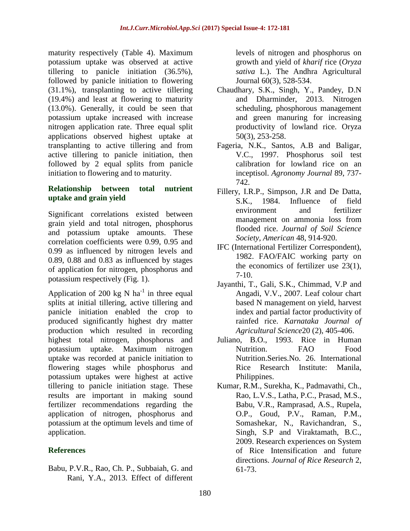maturity respectively (Table 4). Maximum potassium uptake was observed at active tillering to panicle initiation (36.5%), followed by panicle initiation to flowering (31.1%), transplanting to active tillering (19.4%) and least at flowering to maturity (13.0%). Generally, it could be seen that potassium uptake increased with increase nitrogen application rate. Three equal split applications observed highest uptake at transplanting to active tillering and from active tillering to panicle initiation, then followed by 2 equal splits from panicle initiation to flowering and to maturity.

#### **Relationship between total nutrient uptake and grain yield**

Significant correlations existed between grain yield and total nitrogen, phosphorus and potassium uptake amounts. These correlation coefficients were 0.99, 0.95 and 0.99 as influenced by nitrogen levels and 0.89, 0.88 and 0.83 as influenced by stages of application for nitrogen, phosphorus and potassium respectively (Fig. 1).

Application of 200 kg N  $ha^{-1}$  in three equal splits at initial tillering, active tillering and panicle initiation enabled the crop to produced significantly highest dry matter production which resulted in recording highest total nitrogen, phosphorus and potassium uptake. Maximum nitrogen uptake was recorded at panicle initiation to flowering stages while phosphorus and potassium uptakes were highest at active tillering to panicle initiation stage. These results are important in making sound fertilizer recommendations regarding the application of nitrogen, phosphorus and potassium at the optimum levels and time of application.

## **References**

Babu, P.V.R., Rao, Ch. P., Subbaiah, G. and Rani, Y.A., 2013. Effect of different

levels of nitrogen and phosphorus on growth and yield of *kharif* rice (*Oryza sativa* L.). The Andhra Agricultural Journal 60(3), 528-534.

- Chaudhary, S.K., Singh, Y., Pandey, D.N and Dharminder, 2013. Nitrogen scheduling, phosphorous management and green manuring for increasing productivity of lowland rice. Oryza 50(3), 253-258.
- Fageria, N.K., Santos, A.B and Baligar, V.C., 1997. Phosphorus soil test calibration for lowland rice on an inceptisol. *Agronomy Journal* 89, 737- 742.
- Fillery, I.R.P., Simpson, J.R and De Datta, S.K., 1984. Influence of field environment and fertilizer management on ammonia loss from flooded rice. *Journal of Soil Science Society, American* 48, 914-920.
- IFC (International Fertilizer Correspondent), 1982. FAO/FAIC working party on the economics of fertilizer use 23(1), 7-10.
- Jayanthi, T., Gali, S.K., Chimmad, V.P and Angadi, V.V., 2007. Leaf colour chart based N management on yield, harvest index and partial factor productivity of rainfed rice. *Karnataka Journal of Agricultural Science*20 (2), 405-406.
- Juliano, B.O., 1993. Rice in Human Nutrition. **FAO** Food Nutrition.Series.No. 26. International Rice Research Institute: Manila, Philippines.
- Kumar, R.M., Surekha, K., Padmavathi, Ch., Rao, L.V.S., Latha, P.C., Prasad, M.S., Babu, V.R., Ramprasad, A.S., Rupela, O.P., Goud, P.V., Raman, P.M., Somashekar, N., Ravichandran, S., Singh, S.P and Viraktamath, B.C., 2009. Research experiences on System of Rice Intensification and future directions. *Journal of Rice Research* 2, 61-73.